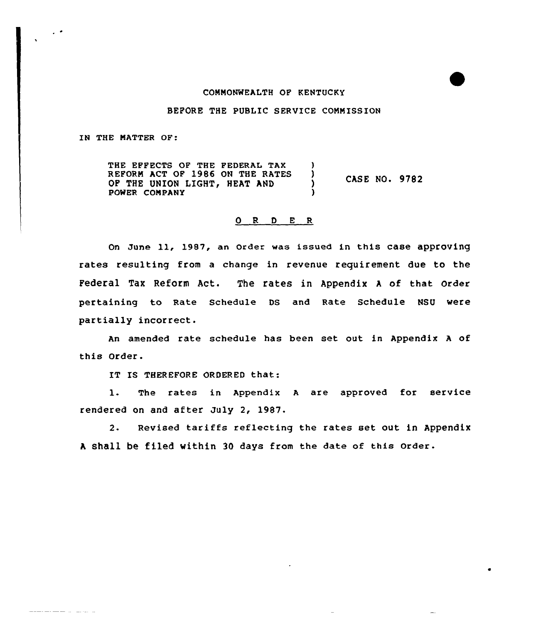#### COMMONWEALTH OF KENTUCKY

### BEFORE THE PUBLIC SERUICE COMMISSION

IN THE MATTER OF:

 $\sim$   $^{\circ}$ 

THE EFFECTS OF THE FEDERAL TAX )<br>REFORM ACT OF 1986 ON THE RATES ) REFORM ACT OF 1986 ON THE RATES (3)<br>OF THE UNION LIGHT, HEAT AND OF THE UNION LIGHT, HEAT AND POWER COMPANY ) CASE NO. 9782

# 0 R <sup>D</sup> <sup>E</sup> R

On June 11, 1987, an Order was issued in this case approving rates resulting from a change in revenue requirement due to the Federal Tax Reform Act. The rates in Appendix <sup>A</sup> of that order pertaining to Rate schedule Ds and Rate schedule NsU were partially incorrect.

An amended rate schedule has been set out in Appendix <sup>A</sup> of this Order.

IT IS THEREFORE ORDERED that:

1. The rates in Appendix <sup>A</sup> are approved for service rendered on and after July 2, 1987.

2. Revised tariffs reflecting the rates set out in Appendix <sup>A</sup> Shall be filed within 3Q days from the date of this order.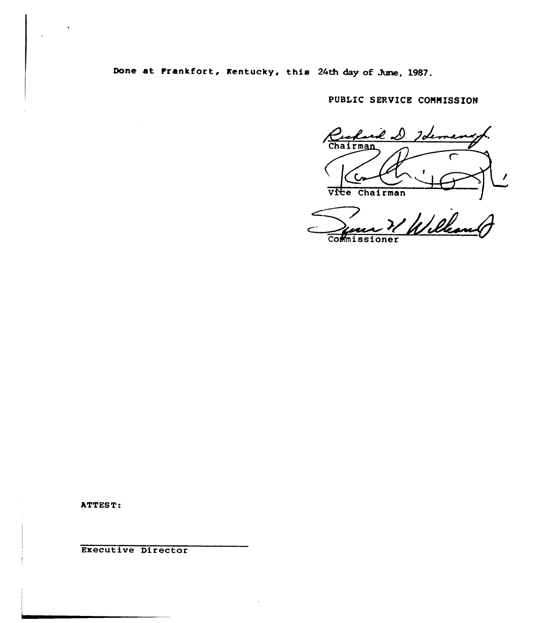Done at Frankfort, Kentucky, this 24th day of June, 1987.

PUBLIC SERVICE COMMISSION

∙l ∝ Chairman C Vite Chairman

Willes Commissione

ATTEST:

Executive Director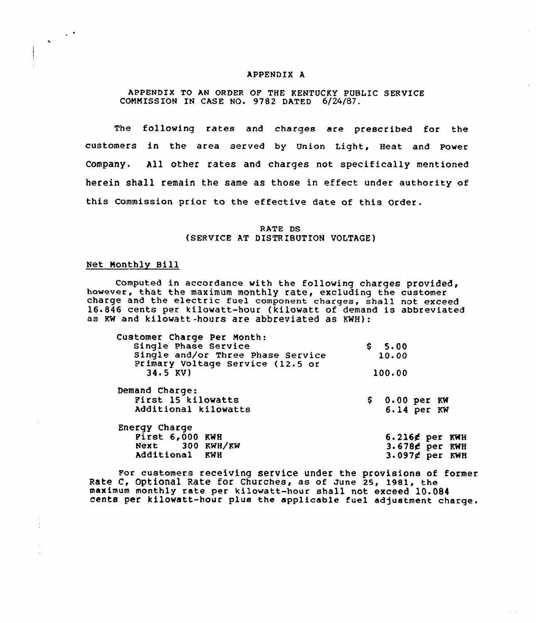#### APPENDIX A

## APPENDIX TO AN ORDER OF THE KENTUCKY PUBLIC SERVICE COMMISSION IN CASE NO. 9782 DATED 6/24/87.

The following rates and charges are prescribed for the customers in the area served by Union Light, Heat and power Company. All other rates and charges not specifically mentioned herein shall remain the same as those in effect under authority of this Commission prior to the effective date of this Order.

> RATE DS (SERVICE AT DISTRIBUTION VOLTAGE)

### Net Monthly Bill

 $\sim$ 

 $\hat{\mathbf{v}}$ 

Computed in accordance with the following charges provided, however, that the maximum monthly rate, excluding the customer charge and the electric fuel component charges, shall not exceed 16.846 cents per kilowatt-hour (kilowatt of demand is abbreviated as Kw and kilowatt -hours are abbreviated as KWH):

| Customer Charge Per Month:                                            |        |               |                   |
|-----------------------------------------------------------------------|--------|---------------|-------------------|
| Single Phase Service                                                  |        | \$5.00        |                   |
| Single and/or Three Phase Service<br>Primary Voltage Service (12.5 or |        | 10.00         |                   |
| $34.5$ KV)                                                            | 100.00 |               |                   |
| Demand Charge:                                                        |        |               |                   |
| First 15 kilowatts                                                    |        | \$0.00~per~K  |                   |
| Additional kilowatts                                                  |        | $6.14$ per KW |                   |
| Energy Charge                                                         |        |               |                   |
| First 6,000 KWH                                                       |        |               | $6.216$ g per KWH |
| Next 300 KWH/KW                                                       |        |               | 3.678¢ per KWH    |
| Additional KWH                                                        |        |               | $3.097$ g per KWH |

For customers receiving service under the provisions of former Rate c, optional Rate for churches, as of June 25, 1981, the maximum monthly rate per kilowatt-hour shall not exceed 10.0S4 cents per kilowatt-hour plus the applicable fuel adjustment charge.